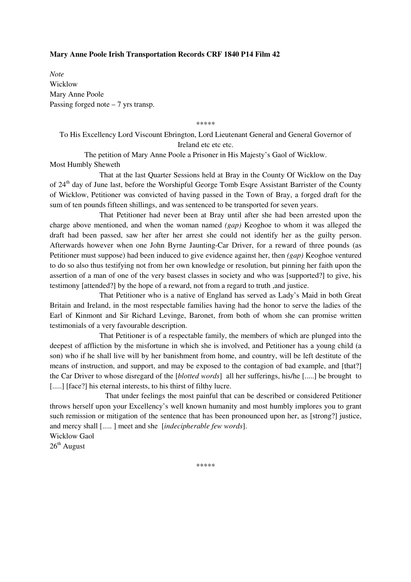## **Mary Anne Poole Irish Transportation Records CRF 1840 P14 Film 42**

*Note*  Wicklow Mary Anne Poole Passing forged note  $-7$  yrs transp.

\*\*\*\*\*

To His Excellency Lord Viscount Ebrington, Lord Lieutenant General and General Governor of Ireland etc etc etc.

The petition of Mary Anne Poole a Prisoner in His Majesty's Gaol of Wicklow. Most Humbly Sheweth

 That at the last Quarter Sessions held at Bray in the County Of Wicklow on the Day of 24<sup>th</sup> day of June last, before the Worshipful George Tomb Esqre Assistant Barrister of the County of Wicklow, Petitioner was convicted of having passed in the Town of Bray, a forged draft for the sum of ten pounds fifteen shillings, and was sentenced to be transported for seven years.

That Petitioner had never been at Bray until after she had been arrested upon the charge above mentioned, and when the woman named *(gap)* Keoghoe to whom it was alleged the draft had been passed, saw her after her arrest she could not identify her as the guilty person. Afterwards however when one John Byrne Jaunting-Car Driver, for a reward of three pounds (as Petitioner must suppose) had been induced to give evidence against her, then *(gap)* Keoghoe ventured to do so also thus testifying not from her own knowledge or resolution, but pinning her faith upon the assertion of a man of one of the very basest classes in society and who was [supported?] to give, his testimony [attended?] by the hope of a reward, not from a regard to truth ,and justice.

That Petitioner who is a native of England has served as Lady's Maid in both Great Britain and Ireland, in the most respectable families having had the honor to serve the ladies of the Earl of Kinmont and Sir Richard Levinge, Baronet, from both of whom she can promise written testimonials of a very favourable description.

That Petitioner is of a respectable family, the members of which are plunged into the deepest of affliction by the misfortune in which she is involved, and Petitioner has a young child (a son) who if he shall live will by her banishment from home, and country, will be left destitute of the means of instruction, and support, and may be exposed to the contagion of bad example, and [that?] the Car Driver to whose disregard of the [*blotted words*] all her sufferings, his/he [.....] be brought to [.....] [face?] his eternal interests, to his thirst of filthy lucre.

 That under feelings the most painful that can be described or considered Petitioner throws herself upon your Excellency's well known humanity and most humbly implores you to grant such remission or mitigation of the sentence that has been pronounced upon her, as [strong?] justice, and mercy shall [..... ] meet and she [*indecipherable few words*]. Wicklow Gaol

 $26<sup>th</sup>$  August

\*\*\*\*\*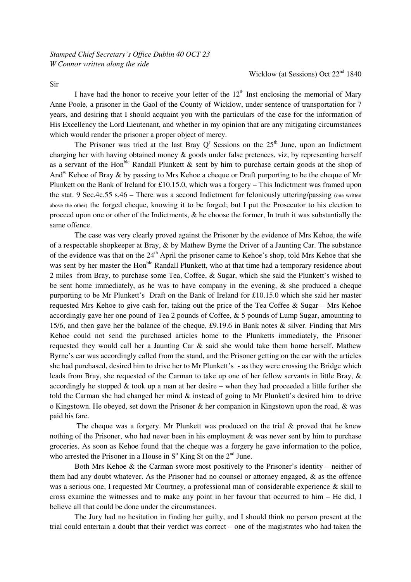I have had the honor to receive your letter of the  $12<sup>th</sup>$  Inst enclosing the memorial of Mary Anne Poole, a prisoner in the Gaol of the County of Wicklow, under sentence of transportation for 7 years, and desiring that I should acquaint you with the particulars of the case for the information of His Excellency the Lord Lieutenant, and whether in my opinion that are any mitigating circumstances which would render the prisoner a proper object of mercy.

The Prisoner was tried at the last Bray  $Q^r$  Sessions on the  $25<sup>th</sup>$  June, upon an Indictment charging her with having obtained money & goods under false pretences, viz, by representing herself as a servant of the Hon<sup>ble</sup> Randall Plunkett  $\&$  sent by him to purchase certain goods at the shop of And<sup>w</sup> Kehoe of Bray & by passing to Mrs Kehoe a cheque or Draft purporting to be the cheque of Mr Plunkett on the Bank of Ireland for £10.15.0, which was a forgery – This Indictment was framed upon the stat. 9 Sec.4c.55 s.46 – There was a second Indictment for feloniously uttering/passing (one written above the other) the forged cheque, knowing it to be forged; but I put the Prosecutor to his election to proceed upon one or other of the Indictments, & he choose the former, In truth it was substantially the same offence.

 The case was very clearly proved against the Prisoner by the evidence of Mrs Kehoe, the wife of a respectable shopkeeper at Bray, & by Mathew Byrne the Driver of a Jaunting Car. The substance of the evidence was that on the  $24<sup>th</sup>$  April the prisoner came to Kehoe's shop, told Mrs Kehoe that she was sent by her master the Hon<sup>ble</sup> Randall Plunkett, who at that time had a temporary residence about 2 miles from Bray, to purchase some Tea, Coffee, & Sugar, which she said the Plunkett's wished to be sent home immediately, as he was to have company in the evening, & she produced a cheque purporting to be Mr Plunkett's Draft on the Bank of Ireland for £10.15.0 which she said her master requested Mrs Kehoe to give cash for, taking out the price of the Tea Coffee & Sugar – Mrs Kehoe accordingly gave her one pound of Tea 2 pounds of Coffee, & 5 pounds of Lump Sugar, amounting to 15/6, and then gave her the balance of the cheque, £9.19.6 in Bank notes & silver. Finding that Mrs Kehoe could not send the purchased articles home to the Plunketts immediately, the Prisoner requested they would call her a Jaunting Car  $\&$  said she would take them home herself. Mathew Byrne's car was accordingly called from the stand, and the Prisoner getting on the car with the articles she had purchased, desired him to drive her to Mr Plunkett's - as they were crossing the Bridge which leads from Bray, she requested of the Carman to take up one of her fellow servants in little Bray, & accordingly he stopped  $&$  took up a man at her desire – when they had proceeded a little further she told the Carman she had changed her mind & instead of going to Mr Plunkett's desired him to drive o Kingstown. He obeyed, set down the Prisoner & her companion in Kingstown upon the road, & was paid his fare.

The cheque was a forgery. Mr Plunkett was produced on the trial  $\&$  proved that he knew nothing of the Prisoner, who had never been in his employment & was never sent by him to purchase groceries. As soon as Kehoe found that the cheque was a forgery he gave information to the police, who arrested the Prisoner in a House in  $S^{\circ}$  King St on the  $2^{nd}$  June.

Both Mrs Kehoe  $\&$  the Carman swore most positively to the Prisoner's identity – neither of them had any doubt whatever. As the Prisoner had no counsel or attorney engaged, & as the offence was a serious one, I requested Mr Courtney, a professional man of considerable experience & skill to cross examine the witnesses and to make any point in her favour that occurred to him – He did, I believe all that could be done under the circumstances.

 The Jury had no hesitation in finding her guilty, and I should think no person present at the trial could entertain a doubt that their verdict was correct – one of the magistrates who had taken the

Sir